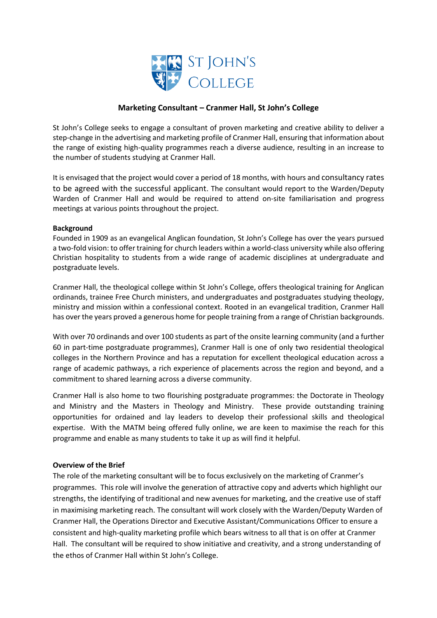

# **Marketing Consultant – Cranmer Hall, St John's College**

St John's College seeks to engage a consultant of proven marketing and creative ability to deliver a step-change in the advertising and marketing profile of Cranmer Hall, ensuring that information about the range of existing high-quality programmes reach a diverse audience, resulting in an increase to the number of students studying at Cranmer Hall.

It is envisaged that the project would cover a period of 18 months, with hours and consultancy rates to be agreed with the successful applicant. The consultant would report to the Warden/Deputy Warden of Cranmer Hall and would be required to attend on-site familiarisation and progress meetings at various points throughout the project.

## **Background**

Founded in 1909 as an evangelical Anglican foundation, St John's College has over the years pursued a two-fold vision: to offer training for church leaders within a world-class university while also offering Christian hospitality to students from a wide range of academic disciplines at undergraduate and postgraduate levels.

Cranmer Hall, the theological college within St John's College, offers theological training for Anglican ordinands, trainee Free Church ministers, and undergraduates and postgraduates studying theology, ministry and mission within a confessional context. Rooted in an evangelical tradition, Cranmer Hall has over the years proved a generous home for people training from a range of Christian backgrounds.

With over 70 ordinands and over 100 students as part of the onsite learning community (and a further 60 in part-time postgraduate programmes), Cranmer Hall is one of only two residential theological colleges in the Northern Province and has a reputation for excellent theological education across a range of academic pathways, a rich experience of placements across the region and beyond, and a commitment to shared learning across a diverse community.

Cranmer Hall is also home to two flourishing postgraduate programmes: the Doctorate in Theology and Ministry and the Masters in Theology and Ministry. These provide outstanding training opportunities for ordained and lay leaders to develop their professional skills and theological expertise. With the MATM being offered fully online, we are keen to maximise the reach for this programme and enable as many students to take it up as will find it helpful.

## **Overview of the Brief**

The role of the marketing consultant will be to focus exclusively on the marketing of Cranmer's programmes. This role will involve the generation of attractive copy and adverts which highlight our strengths, the identifying of traditional and new avenues for marketing, and the creative use of staff in maximising marketing reach. The consultant will work closely with the Warden/Deputy Warden of Cranmer Hall, the Operations Director and Executive Assistant/Communications Officer to ensure a consistent and high-quality marketing profile which bears witness to all that is on offer at Cranmer Hall. The consultant will be required to show initiative and creativity, and a strong understanding of the ethos of Cranmer Hall within St John's College.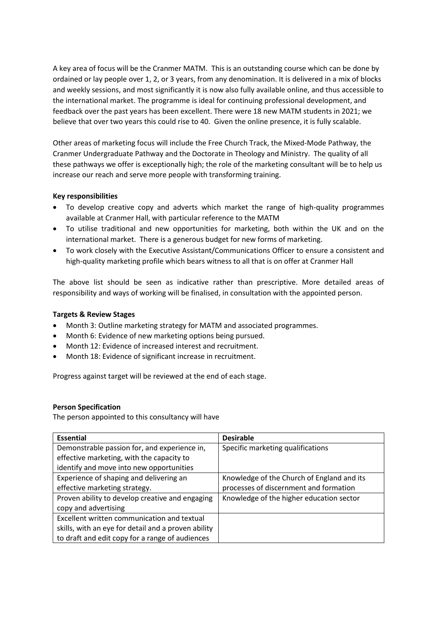A key area of focus will be the Cranmer MATM. This is an outstanding course which can be done by ordained or lay people over 1, 2, or 3 years, from any denomination. It is delivered in a mix of blocks and weekly sessions, and most significantly it is now also fully available online, and thus accessible to the international market. The programme is ideal for continuing professional development, and feedback over the past years has been excellent. There were 18 new MATM students in 2021; we believe that over two years this could rise to 40. Given the online presence, it is fully scalable.

Other areas of marketing focus will include the Free Church Track, the Mixed-Mode Pathway, the Cranmer Undergraduate Pathway and the Doctorate in Theology and Ministry. The quality of all these pathways we offer is exceptionally high; the role of the marketing consultant will be to help us increase our reach and serve more people with transforming training.

## **Key responsibilities**

- To develop creative copy and adverts which market the range of high-quality programmes available at Cranmer Hall, with particular reference to the MATM
- To utilise traditional and new opportunities for marketing, both within the UK and on the international market. There is a generous budget for new forms of marketing.
- To work closely with the Executive Assistant/Communications Officer to ensure a consistent and high-quality marketing profile which bears witness to all that is on offer at Cranmer Hall

The above list should be seen as indicative rather than prescriptive. More detailed areas of responsibility and ways of working will be finalised, in consultation with the appointed person.

## **Targets & Review Stages**

- Month 3: Outline marketing strategy for MATM and associated programmes.
- Month 6: Evidence of new marketing options being pursued.
- Month 12: Evidence of increased interest and recruitment.
- Month 18: Evidence of significant increase in recruitment.

Progress against target will be reviewed at the end of each stage.

## **Person Specification**

The person appointed to this consultancy will have

| <b>Essential</b>                                    | <b>Desirable</b>                           |
|-----------------------------------------------------|--------------------------------------------|
| Demonstrable passion for, and experience in,        | Specific marketing qualifications          |
| effective marketing, with the capacity to           |                                            |
| identify and move into new opportunities            |                                            |
| Experience of shaping and delivering an             | Knowledge of the Church of England and its |
| effective marketing strategy.                       | processes of discernment and formation     |
| Proven ability to develop creative and engaging     | Knowledge of the higher education sector   |
| copy and advertising                                |                                            |
| Excellent written communication and textual         |                                            |
| skills, with an eye for detail and a proven ability |                                            |
| to draft and edit copy for a range of audiences     |                                            |